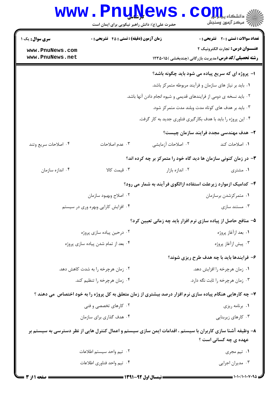## **www.PnuNews.com** ے<br>اللہ مرکز آزمون وسنجش حضرت علی(ع): دانش راهبر نیکویی برای ایمان است تعداد سوالات : تستى : 20 - تشريحي : 0 **سری سوال :** یک ۱ **زمان آزمون (دقیقه) : تستی : 45 ٪ تشریحی : 0** عنــوان درس: تجارت الكترونيك ٢ www.PnuNews.com www.PnuNews.net **رشته تحصیلی/کد درس:**مدیریت بازرگانی (چندبخشی )۱۲۳۵۰۱۵ ( ۱- پروژه ای که سریع پیاده می شود باید چگونه باشد؟ ٠١. بايد بر نياز هاي سازمان و فرآيند مربوطه متمركز باشد. ۰۲ باید نسخه ی دومی از فرایندهای قدیمی و شیوه انجام دادن آنها باشد. ۰۳ باید بر هدف های کوتاه مدت وبلند مدت متمرکز شود. ۰۴ این پروژه را باید با هدف بکارگیری فناوری جدید به کار گرفت. ٢- هدف مهندسي مجدد فرايند سازمان چيست؟ ۰۳ عدم اصلاحات ٢. اصلاحات أزمايشي ١. اصلاحات كند ۰۴ اصلاحات سریع وتند

- **۳** در زمان کنونی سازمان ها دید گاه خود را متمرکز بر چه کرده اند؟
- ۰۳ قیمت کالا ۰۲ اندازه بازار ۰۴ اندازه سازمان ۰۱ مشتری
	- ۴- کدامیک ازموارد زیرعلت استفاده ازالگوی فرآیند به شمار می رود؟
	- ۰۲ اصلاح وبهبود سازمان ۰۱ متمرکزشدن برسازمان ۰۴ افزایش کارایی وبهره وری در سیستم ۰۳ مستند سازی
		- ۵– منافع حاصل از پیاده سازی نرم افزار باید چه زمانی تعیین کرد؟
	- ٠١. بعد ازآغاز پروژه ۰۲ درجین پیاده سازی پروژه ۰۴ بعد از تمام شدن پیاده سازی پروژه ۰۳ پیش ازآغاز پروژه
		- ۶– فرایندها باید با چه هدف طرح ریزی شوند؟
	- ۲. زمان هرچرخه را به شدت کاهش دهد. ۰۱ زمان هرچرخه را افزایش دهد. ۰۴ زمان هرچرخه را تنظیم کند. ۰۳ زمان هرچرخه را ثابت نگه دارد.
- ۷- چه کارهایی هنگام پیاده سازی نرم افزار درصد بیشتری از زمان متعلق به کل پروژه را به خود اختصاص ًمی دهند ؟ ۲. کا<sub>ر</sub>های تخصصی و فنی ۰۱ برنامه ریزی
	- ۰۳ کارهای زیربنایی ۰۴ هدف گذاری برای سازمان

۸– وظیفه آشنا سازی کاربران با سیستم ، اقدامات ایمن سازی سیستم و اعمال کنترل هایی از نظر دسترسی به سیستم بر عهده ی چه کسانی است ؟

> ٠٢ تيم واحد سيستم اطلاعات ۰۱ تیم مجری ۰۴ تیم واحد فناوری اطلاعات ۰۳ مدیران اجرایی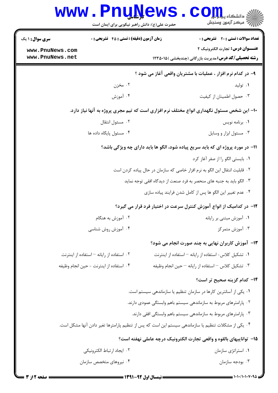|                                                                                           | <b>www.PnuNews</b><br>حضرت علی(ع): دانش راهبر نیکویی برای ایمان است |  | ج<br>ج دانشڪاه پي <mark>اب</mark><br>ج <i>" مرڪ</i> ز آزمون وسنڊش                                        |  |
|-------------------------------------------------------------------------------------------|---------------------------------------------------------------------|--|----------------------------------------------------------------------------------------------------------|--|
| سری سوال : ۱ یک                                                                           | <b>زمان آزمون (دقیقه) : تستی : 45 گشریحی : 0</b>                    |  | تعداد سوالات : تستى : 20 - تشريحي : 0                                                                    |  |
| www.PnuNews.com<br>www.PnuNews.net                                                        |                                                                     |  | <b>عنـــوان درس:</b> تجارت الكترونيك ٢<br><b>رشته تحصیلی/کد درس:</b> مدیریت بازرگانی (چندبخشی )۱۲۳۵۰۱۵ ( |  |
|                                                                                           |                                                                     |  |                                                                                                          |  |
|                                                                                           |                                                                     |  | ۹- در کدام نرم افزار ، عملیات با مشتریان واقعی آغاز می شود ؟                                             |  |
|                                                                                           | ۰۲ مخزن                                                             |  | ۰۱ تولید                                                                                                 |  |
|                                                                                           | ۰۴ آموزش                                                            |  | ۰۳ حصول اطمينان از كيفيت                                                                                 |  |
| ۱۰- این شخص مسئول نگهداری انواع مختلف نرم افزاری است که تیم مجری پروژه به آنها نیاز دارد. |                                                                     |  |                                                                                                          |  |
|                                                                                           | ۰۲ مسئول انتقال                                                     |  | ٠١. برنامه نويس                                                                                          |  |
|                                                                                           | ۰۴ مسئول يايگاه داده ها                                             |  | ۰۳ مسئول ابزار و وسایل                                                                                   |  |
| <b>۱۱- در مورد پروژه ای که باید سریع پیاده شود، الگو ها باید دارای چه ویژگی باشد</b> ؟    |                                                                     |  |                                                                                                          |  |
|                                                                                           |                                                                     |  | ۰۱ بایستی الگو را از صفر آغاز کرد                                                                        |  |
|                                                                                           |                                                                     |  | ۲. قابلیت انتقال این الگو به نرم افزار خاصی که سازمان در حال پیاده کردن است                              |  |
|                                                                                           |                                                                     |  | ۰۳ الگو باید به جنبه های منحصر به فرد صنعت از دیدگاه افقی توجه نماید                                     |  |
|                                                                                           |                                                                     |  | ۰۴ عدم تغییر این الگو ها پس از کامل شدن فرایند پیاده سازی                                                |  |
|                                                                                           |                                                                     |  | ۱۲– در کدامیک از انواع آموزش کنترل سرعت در اختیار فرد قرار می گیرد؟                                      |  |
|                                                                                           | ۰۲ آموزش به هنگام                                                   |  | ۰۱ آموزش مبتنی بر رایانه                                                                                 |  |
|                                                                                           | ۰۴ آموزش روش شناسی                                                  |  | ۰۳ آموزش متمرکز                                                                                          |  |
|                                                                                           |                                                                     |  | ۱۳- آموزش کاربران نهایی به چند صورت انجام می شود؟                                                        |  |
|                                                                                           | ۰۲ استفاده از رایانه – استفاده از اینترنت                           |  | ۰۱ تشکیل کلاس- استفاده از رایانه – استفاده از اینترنت                                                    |  |
|                                                                                           | ۰۴ استفاده از اينترنت - حين انجام وظيفه                             |  | ۰۳ تشکیل کلاس <sup>—</sup> استفاده از رایانه <sup>—</sup> حین انجام وظیفه                                |  |
|                                                                                           |                                                                     |  | ۱۴– کدام گزینه صحیح تر است؟                                                                              |  |
|                                                                                           |                                                                     |  | ۰۱ یکی از آسانترین کارها در سازمان تنظیم یا سازماندهی سیستم است.                                         |  |
|                                                                                           |                                                                     |  | ۰۲ پارامترهای مربوط به سازماندهی سیستم باهم وابستگی عمودی دارند.                                         |  |
|                                                                                           |                                                                     |  | ۰۳ پارامترهای مربوط به سازماندهی سیستم باهم وابستگی افقی دارند.                                          |  |
|                                                                                           |                                                                     |  | ۰۴ یکی از مشکلات تنظیم یا سازماندهی سیستم این است که پس از تنظیم پارامترها تغیر دادن آنها مشکل است.      |  |
|                                                                                           |                                                                     |  | ۰۱۵ تواناییهای بالقوه و واقعی تجارت الکترونیک درچه عاملی نهفته است؟                                      |  |
|                                                                                           | ٢. ايجاد ارتباط الكترونيكي                                          |  | ۰۱ استراتژی سازمان                                                                                       |  |
|                                                                                           | ۰۴ نیروهای متخصص سازمان                                             |  | ۰۳ بودجه سازمان                                                                                          |  |